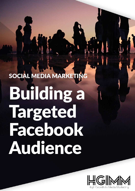# SOCIAL MEDIA MARKETING Building a Targeted Facebook Audience

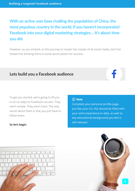## **With an active user base rivalling the population of China, the most populous country in the world, if you haven't incorporated Facebook into your digital marketing strategies… It's about time you did.**

However, as you embark on this journey to master the master of all social media, don't be fooled into thinking there is some secret potion for success.

## **Lets build you a Facebook audience**

To get you started, we're going to fill you in on six steps to Facebook success. They aren't simple. They aren't hard. The only secret about them is that you just have to follow them.

#### **So let's begin.**

#### $\overline{()}$  Note

Complete your personal profile page. Just like your CV, this should be filled with your work experience to date, as well as any educational background you feel is still relevant.



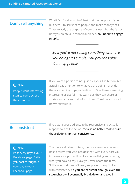## **Don't sell anything**

What? Don't sell anything? Isn't that the purpose of your business – to sell stuff to people and make money? Yes. That's exactly the purpose of your business, but that's not how you create a Facebook audience. **You need to engage people.**

*So if you're not selling something what are you doing? It's simple. You provide value. You help people.*

#### (i) Note

People want interesting stuff to come across their newsfeed.

If you want a person to not just click your like button, but actually pay attention to what you are doing – provide them something to pay attention to. Give them something interesting or useful. They want tips they can share or stories and articles that inform them. You'd be surprised how viral value is.

## **Be consistent**

If you want your audience to be responsive and actually respond to a call to action, **there is no better tool to build that relationship than consistency.**

#### (i) Note

Post every day to your Facebook page. Better yet, post throughout your day to your Facebook page.

The more valuable content, the more reason a person has to follow you. And besides that, with every post you increase your probability of someone liking and sharing what you have to say. Have you ever heard the term, "kill 'em with kindness"? Well, we prefer to say, "kill 'em with consistency"! **If you are constant enough, even the staunchest will eventually break down and give in.**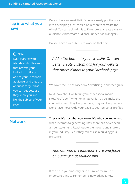## **Tap into what you have**

Do you have an email list? If you've already put the work into developing a list, there's no reason to recreate the wheel. You can upload this to Facebook to create a custom audience (click "create audience" under Ads Manager).

Do you have a website? Let's work on that next.

#### (i) Note

Even starting with friends and colleagues that browse your LinkedIn profile can add to your Facebook audience, and they are about as targeted as you can get because they know you and like the subject of your page.

*Add a like button to your website. Or even better create custom ads for your website that direct visitors to your Facebook page.*

We cover the use of Facebook Advertising in another guide.

Next, how about we hit up your other social media sites. YouTube, Twitter, or whatever it may be, make the connection so if they like you there, they can like you here. Don't have those? Add your page to your personal profiles.

## **Network**

**They say it's not what you know, it's who you know.** And when it comes to generating likes, there has never been a truer statement. Reach out to the movers and shakers in your industry. See if they can assist in building your presence.

*Find out who the influencers are and focus on building that relationship.*

It can be in your industry or in a similar realm. The important thing to remember is networking is key.